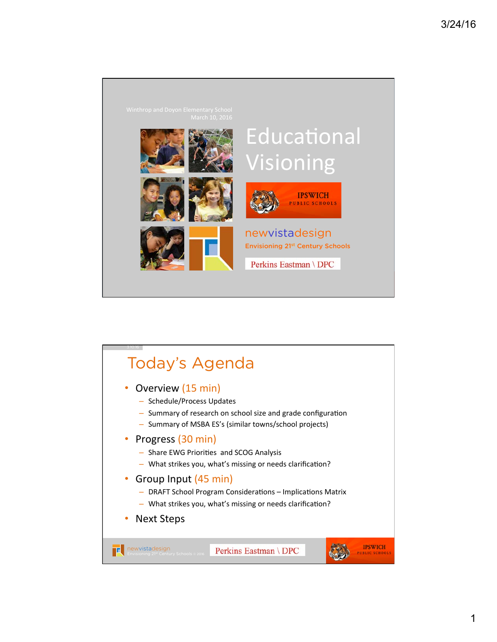

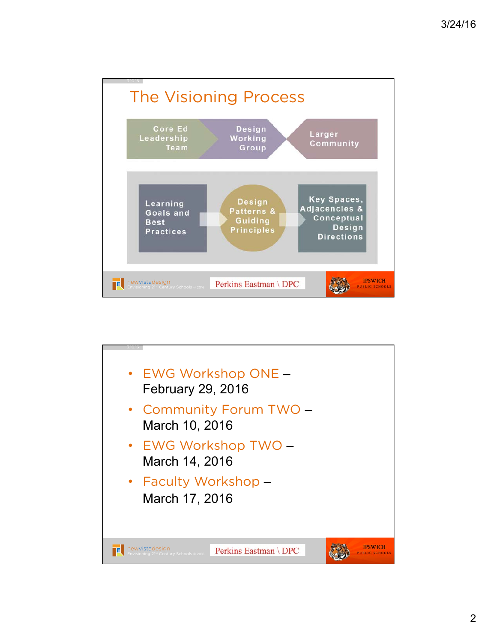

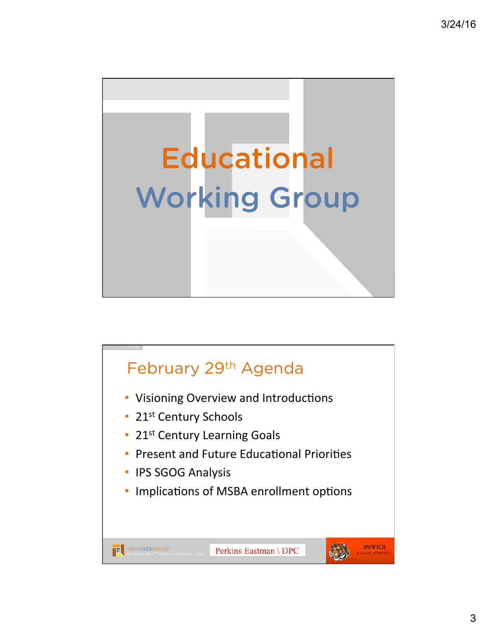

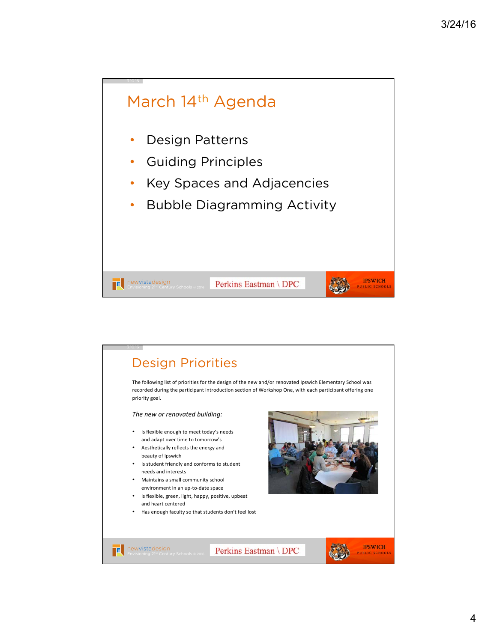## March 14th Agenda • Design Patterns • Guiding Principles • Key Spaces and Adjacencies • Bubble Diagramming Activity 8 **IPSWICH** Perkins Eastman \ DPC **newvistadesign**<br>Envisioning 21<sup>st</sup> Century Schools © 2016 **PUBLIC SCHOO**

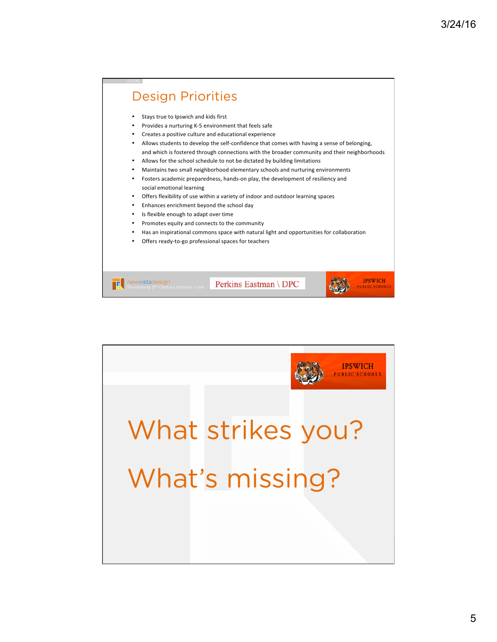## **Design Priorities** esign P Stays true to Ipswich and kids first Provides a nurturing K-5 environment that feels safe Creates a positive culture and educational experience Allows students to develop the self-confidence that comes with having a sense of belonging, and which is fostered through connections with the broader community and their neighborhoods Allows for the school schedule to not be dictated by building limitations Maintains two small neighborhood elementary schools and nurturing environments Fosters academic preparedness, hands-on play, the development of resiliency and social emotional learning Offers flexibility of use within a variety of indoor and outdoor learning spaces Enhances enrichment beyond the school day Is flexible enough to adapt over time Promotes equity and connects to the community Has an inspirational commons space with natural light and opportunities for collaboration Offers ready-to-go professional spaces for teachers newvistadesign Envisioning 21st Century Schools | 1 | Page **IPSWICH** Perkins Eastman \ DPC **newvistadesign**<br>Envisioning 21<sup>st</sup> Century Schools © 2016

environment and the control of the control of







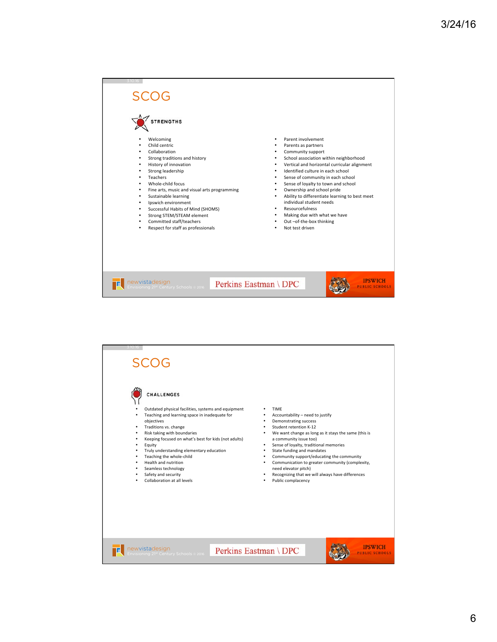

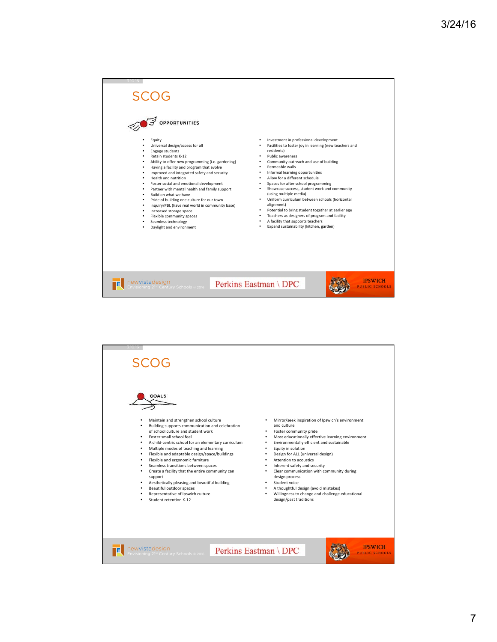

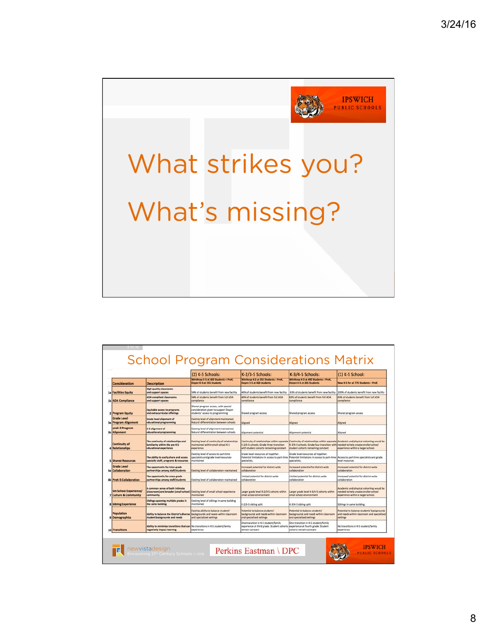

|                                                   |                                                                                                                                    | (2) K-5 Schools:                                                                                               | K-2/3-5 Schools:                                                                                                                          | K-3/4-5 Schools:                                                                                                       | (1) K-5 School:                                                                                                                                                        |
|---------------------------------------------------|------------------------------------------------------------------------------------------------------------------------------------|----------------------------------------------------------------------------------------------------------------|-------------------------------------------------------------------------------------------------------------------------------------------|------------------------------------------------------------------------------------------------------------------------|------------------------------------------------------------------------------------------------------------------------------------------------------------------------|
| Consideration                                     | <b>Description</b>                                                                                                                 | Winthrop K-5 at 420 Students + PreK.<br>Doyon K-5 at 355 Students                                              | Winthrop K-2 at 355 Students + PreK.<br>Doyon 3-5 at 420 students                                                                         | Winthrop K-3 at 490 Students + PreK.<br>Doyon 4-5 at 285 Students                                                      | New K-5 for all 775 Students . PreX                                                                                                                                    |
| <b>1a Facilities Equity</b>                       | <b>High quality classrooms</b><br>and support spaces                                                                               | 54% of students benefit from new facility                                                                      | 46% of students benefit from new facility                                                                                                 | 63% of students benefit from new facility                                                                              | 100% of students benefit from new facility                                                                                                                             |
| 1b ADA Compliance                                 | <b>ADA</b> compliant classrooms<br>and support spaces                                                                              | 54% of students benefit from full ADA<br>compliance                                                            | 46% of students benefit from full ADA<br>compliance                                                                                       | 63% of students benefit from full ADA<br>compliance                                                                    | 63% of students benefit from full ADA<br>compliance                                                                                                                    |
| 2 Program Equity                                  | <b>Equitable access to programs</b><br>and extracurricular offerings                                                               | Shared program access, with special<br>consideration given to support Doyon<br>students' access to programming | Shared program access                                                                                                                     | Shared program access                                                                                                  | Shared program access                                                                                                                                                  |
| <b>Grade Level</b><br><b>3a Program Alignment</b> | <b>Grade level alignment of</b><br>educational programming                                                                         | Existing level of alignment maintained.<br>Natural differentiation between schools                             | Aligned                                                                                                                                   | Aligned                                                                                                                | Aligned                                                                                                                                                                |
| preK-5 Program<br>3b Alignment                    | K-5 allgnment of<br>educational programming                                                                                        | Existing level of alignment maintained.<br>Natural differentiation between schools                             | Alignment potential                                                                                                                       | <b>Nigriment</b> potential                                                                                             | Allgned                                                                                                                                                                |
| <b>Continuity of</b><br><b>Relationships</b>      | The continuity of relationships and<br>familiarity within the pre K-S<br>educational experience                                    | Existing level of continuity of relationships<br>maintained within small school K-S<br>experience              | K-2/3-5 schools. Grade three transition<br>with student cohorts remaining constant.                                                       | K-3/4-5 schools. Grade four transition with needed to help create smaller school<br>student cohorts remaining constant | Continuity of relationships within separate Continuity of relationships within separate Academic and physical cohorting would be<br>experience within a larger school. |
| <b>S</b> Shared Resources                         | The ability to easily share and access<br>specialty staff, programs & resources                                                    | Existing level of access to part-time<br>specialists and grade level resources<br>maintained                   | Grade level resources all together.<br>Potential limitations in access to part-time<br>specialists.                                       | Grade level resources all together.<br>Potential limitations in access to part-time<br>specialists.                    | Access to part-time specialists and grade<br>level resources                                                                                                           |
| <b>Grade Level</b><br>6a Collaboration            | The opportunity for inter-grade<br>partnerships among staff/students                                                               | Existing level of collaboration maintained                                                                     | increased potential for district-wide<br>collaboration                                                                                    | increased potential for district-wide<br>collaboration                                                                 | increased potential for district-wide<br>collaboration                                                                                                                 |
| 6b PreK-S Collaboration                           | The opportunity for cross-grade<br>partnerships among staff/students                                                               | Existing level of collaboration maintained                                                                     | Limited potential for district-wide<br>collaboration                                                                                      | Limited potential for district-wide<br>collaboration                                                                   | Increased potential for district-wide<br>collaboration                                                                                                                 |
| Sm School Experience/<br>7 Culture & Community    | A common sense of both intimate<br>(classroom) and broader (small school) [Existing level of small school experience<br>community. | maintained                                                                                                     | Larger grade level K-2/3-5 cohorts within<br>small school environment                                                                     | Larger grade level K-3/4-5 cohorts within<br>small school environment                                                  | Academic and physical cohorting would be<br>needed to help create smaller school<br>experience within a larger school.                                                 |
| <b>8 Sibling Experience</b>                       | Siblings sponning multiple grades in<br>the same building                                                                          | Existing level of siblings in same building<br>maintained                                                      | K-2/3-5 sibling split                                                                                                                     | K-3/4-5 sibling solit                                                                                                  | Siblines in same building.                                                                                                                                             |
| Population<br>9 Demographics                      | Ability to balance the District's diverse<br>student backgrounds and needs                                                         | Existing ability to balance students'<br>backgrounds and needs within classroom<br>and specialized settings    | Potential to balance students"<br>backgrounds and needs within classroom<br>and specialized settings                                      | Potential to balance students'<br>backgrounds and needs within classroom<br>and specialized settings                   | Potential to balance students' backgrounds<br>and needs within classroom and specialized<br>settings                                                                   |
| 10 Transitions                                    | Ability to minimize transitions that can No transitions in K-5 student/family<br>negatively impact learning                        | experience                                                                                                     | One transition in K-5 student/family<br>experience at third grade. Student cohorts experience at fourth grade. Student<br>remain constant | One transition in K-5 student/family<br>cohorts remain constant                                                        | No transitions in K-5 student/family<br>experience                                                                                                                     |





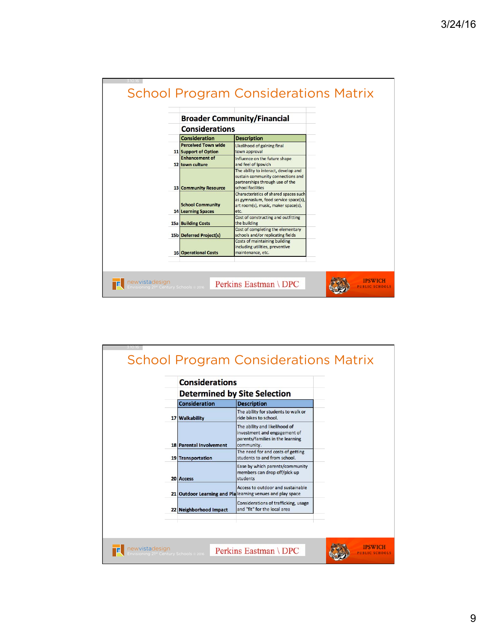